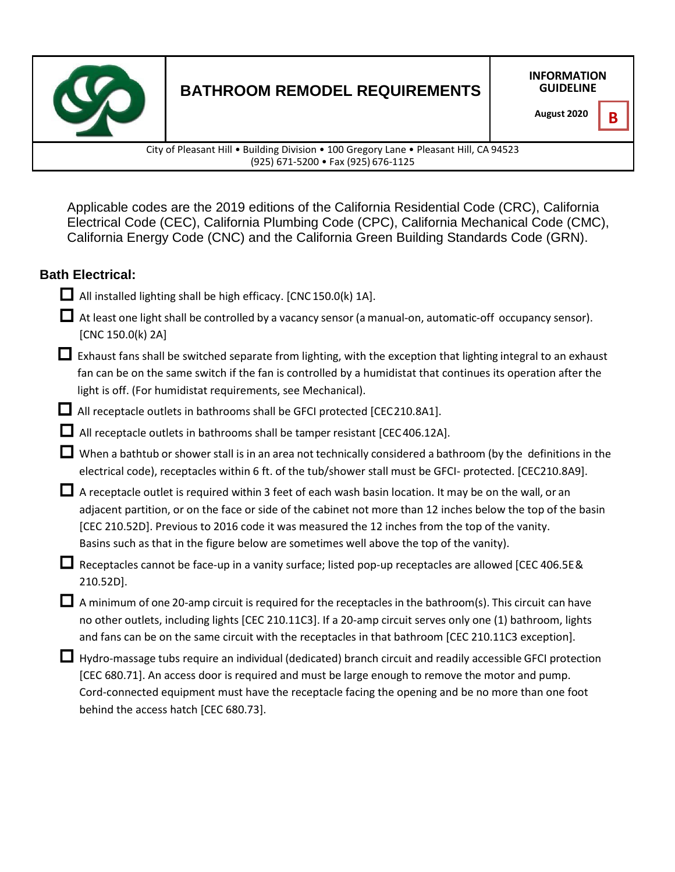

# **BATHROOM REMODEL REQUIREMENTS**

**INFORMATION GUIDELINE**

City of Pleasant Hill • Building Division • 100 Gregory Lane • Pleasant Hill, CA 94523 (925) 671-5200 • Fax (925) 676-1125

Applicable codes are the 2019 editions of the California Residential Code (CRC), California Electrical Code (CEC), California Plumbing Code (CPC), California Mechanical Code (CMC), California Energy Code (CNC) and the California Green Building Standards Code (GRN).

## **Bath Electrical:**

- All installed lighting shall be high efficacy. [CNC 150.0(k) 1A].
- $\Box$  At least one light shall be controlled by a vacancy sensor (a manual-on, automatic-off occupancy sensor). [CNC 150.0(k) 2A]
- $\Box$  Exhaust fans shall be switched separate from lighting, with the exception that lighting integral to an exhaust fan can be on the same switch if the fan is controlled by a humidistat that continues its operation after the light is off. (For humidistat requirements, see Mechanical).
- All receptacle outlets in bathrooms shall be GFCI protected [CEC210.8A1].
- All receptacle outlets in bathrooms shall be tamper resistant [CEC406.12A].
- When a bathtub or shower stall is in an area not technically considered a bathroom (by the definitions in the electrical code), receptacles within 6 ft. of the tub/shower stall must be GFCI- protected. [CEC210.8A9].
- $\Box$  A receptacle outlet is required within 3 feet of each wash basin location. It may be on the wall, or an adjacent partition, or on the face or side of the cabinet not more than 12 inches below the top of the basin [CEC 210.52D]. Previous to 2016 code it was measured the 12 inches from the top of the vanity. Basins such as that in the figure below are sometimes well above the top of the vanity).
- Receptacles cannot be face-up in a vanity surface; listed pop-up receptacles are allowed [CEC 406.5E& 210.52D].
- $\Box$  A minimum of one 20-amp circuit is required for the receptacles in the bathroom(s). This circuit can have no other outlets, including lights [CEC 210.11C3]. If a 20-amp circuit serves only one (1) bathroom, lights and fans can be on the same circuit with the receptacles in that bathroom [CEC 210.11C3 exception].
- Hydro-massage tubs require an individual (dedicated) branch circuit and readily accessible GFCI protection [CEC 680.71]. An access door is required and must be large enough to remove the motor and pump. Cord-connected equipment must have the receptacle facing the opening and be no more than one foot behind the access hatch [CEC 680.73].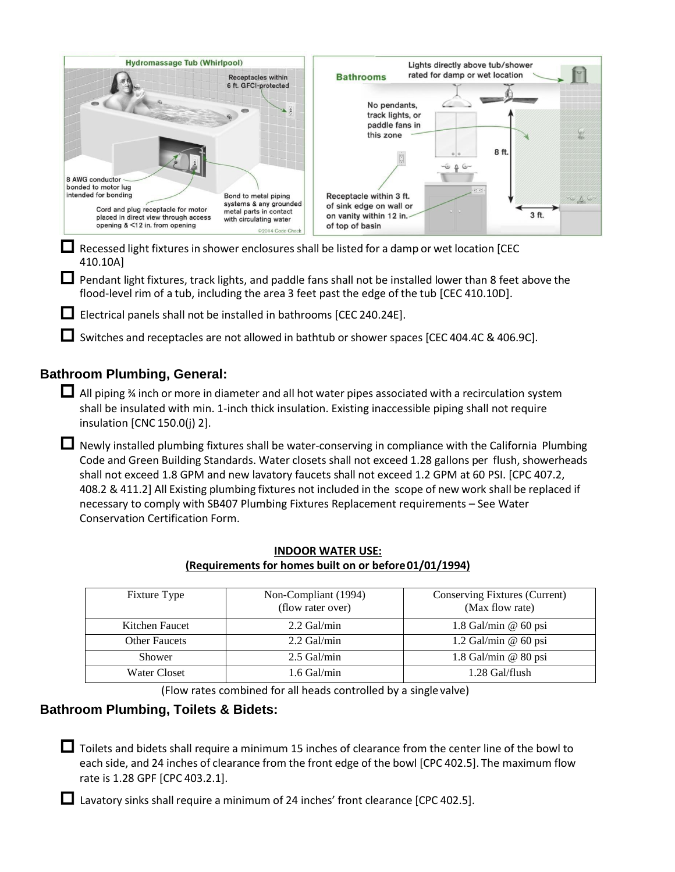| <b>Hydromassage Tub (Whirlpool)</b>                                                                                                  |                                                                                                                        |                                                                                                  | Lights directly above tub/shower |       |       |
|--------------------------------------------------------------------------------------------------------------------------------------|------------------------------------------------------------------------------------------------------------------------|--------------------------------------------------------------------------------------------------|----------------------------------|-------|-------|
|                                                                                                                                      | <b>Receptacles within</b><br>6 ft. GFCI-protected                                                                      | <b>Bathrooms</b>                                                                                 | rated for damp or wet location   |       |       |
|                                                                                                                                      |                                                                                                                        | No pendants,<br>track lights, or<br>paddle fans in<br>this zone                                  |                                  |       |       |
| 8 AWG conductor -<br>bonded to motor lug                                                                                             |                                                                                                                        |                                                                                                  | 67.67                            | 8 ft. |       |
| intended for bonding<br>Cord and plug receptacle for motor<br>placed in direct view through access<br>opening & <12 in. from opening | Bond to metal piping<br>systems & any grounded<br>metal parts in contact<br>with circulating water<br>©2014 Code Check | Receptacle within 3 ft.<br>of sink edge on wall or<br>on vanity within 12 in.<br>of top of basin |                                  | 3 ft. | 79 B. |

 $\Box$  Recessed light fixtures in shower enclosures shall be listed for a damp or wet location [CEC 410.10A]

**L** Pendant light fixtures, track lights, and paddle fans shall not be installed lower than 8 feet above the flood-level rim of a tub, including the area 3 feet past the edge of the tub [CEC 410.10D].

Electrical panels shall not be installed in bathrooms [CEC 240.24E].

Switches and receptacles are not allowed in bathtub or shower spaces [CEC 404.4C & 406.9C].

## **Bathroom Plumbing, General:**

 $\Box$  All piping % inch or more in diameter and all hot water pipes associated with a recirculation system shall be insulated with min. 1-inch thick insulation. Existing inaccessible piping shall not require insulation [CNC 150.0(j) 2].

 Newly installed plumbing fixtures shall be water-conserving in compliance with the California Plumbing Code and Green Building Standards. Water closets shall not exceed 1.28 gallons per flush, showerheads shall not exceed 1.8 GPM and new lavatory faucets shall not exceed 1.2 GPM at 60 PSI. [CPC 407.2, 408.2 & 411.2] All Existing plumbing fixtures not included in the scope of new work shall be replaced if necessary to comply with SB407 Plumbing Fixtures Replacement requirements – See Water Conservation Certification Form.

| <b>Fixture Type</b>  | Non-Compliant (1994)<br>(flow rater over) | <b>Conserving Fixtures (Current)</b><br>(Max flow rate) |  |  |
|----------------------|-------------------------------------------|---------------------------------------------------------|--|--|
| Kitchen Faucet       | $2.2$ Gal/min                             | 1.8 Gal/min $@$ 60 psi                                  |  |  |
| <b>Other Faucets</b> | $2.2$ Gal/min                             | $1.2$ Gal/min @ 60 psi                                  |  |  |
| Shower               | $2.5$ Gal/min                             | $1.8$ Gal/min @ 80 psi                                  |  |  |
| Water Closet         | 1.6 Gal/min                               | 1.28 Gal/flush                                          |  |  |

#### **INDOOR WATER USE: (Requirements for homes built on or before01/01/1994)**

(Flow rates combined for all heads controlled by a singlevalve)

#### **Bathroom Plumbing, Toilets & Bidets:**

Toilets and bidets shall require a minimum 15 inches of clearance from the center line of the bowl to each side, and 24 inches of clearance from the front edge of the bowl [CPC 402.5]. The maximum flow rate is 1.28 GPF [CPC 403.2.1].

 $\Box$  Lavatory sinks shall require a minimum of 24 inches' front clearance [CPC 402.5].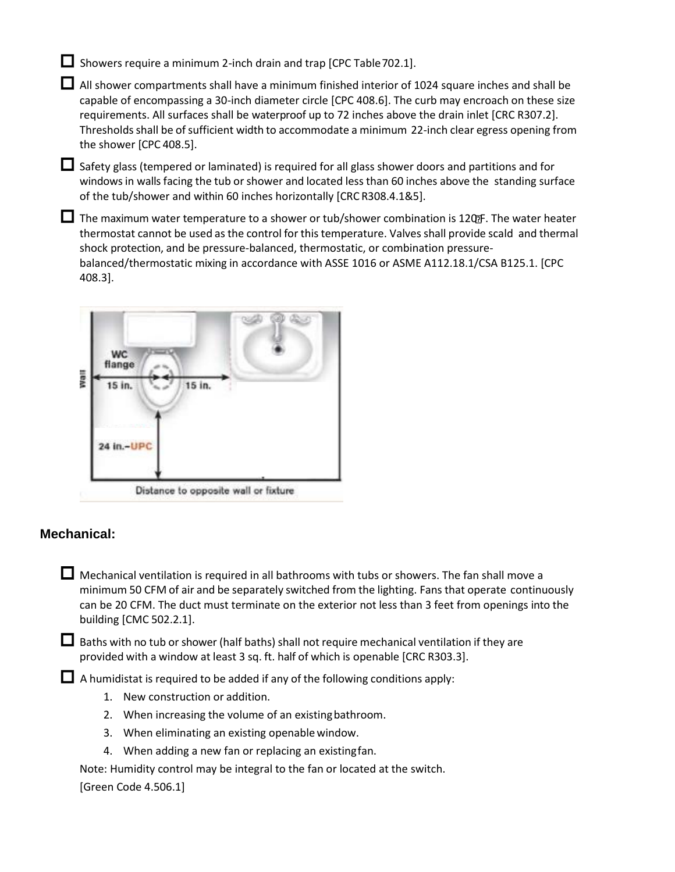$\Box$  Showers require a minimum 2-inch drain and trap [CPC Table 702.1].

 All shower compartments shall have a minimum finished interior of 1024 square inches and shall be capable of encompassing a 30-inch diameter circle [CPC 408.6]. The curb may encroach on these size requirements. All surfaces shall be waterproof up to 72 inches above the drain inlet [CRC R307.2]. Thresholds shall be of sufficient width to accommodate a minimum 22-inch clear egress opening from the shower [CPC 408.5].

 Safety glass (tempered or laminated) is required for all glass shower doors and partitions and for windows in walls facing the tub or shower and located less than 60 inches above the standing surface of the tub/shower and within 60 inches horizontally [CRC R308.4.1&5].

 $\Box$  The maximum water temperature to a shower or tub/shower combination is 120 $\bm{F}$ . The water heater thermostat cannot be used as the control for this temperature. Valves shall provide scald and thermal shock protection, and be pressure-balanced, thermostatic, or combination pressurebalanced/thermostatic mixing in accordance with ASSE 1016 or ASME A112.18.1/CSA B125.1. [CPC 408.3].



### **Mechanical:**

 $\Box$  Mechanical ventilation is required in all bathrooms with tubs or showers. The fan shall move a minimum 50 CFM of air and be separately switched from the lighting. Fans that operate continuously can be 20 CFM. The duct must terminate on the exterior not less than 3 feet from openings into the building [CMC 502.2.1].

 $\Box$  Baths with no tub or shower (half baths) shall not require mechanical ventilation if they are provided with a window at least 3 sq. ft. half of which is openable [CRC R303.3].

 $\Box$  A humidistat is required to be added if any of the following conditions apply:

- 1. New construction or addition.
- 2. When increasing the volume of an existingbathroom.
- 3. When eliminating an existing openable window.
- 4. When adding a new fan or replacing an existingfan.

Note: Humidity control may be integral to the fan or located at the switch.

[Green Code 4.506.1]